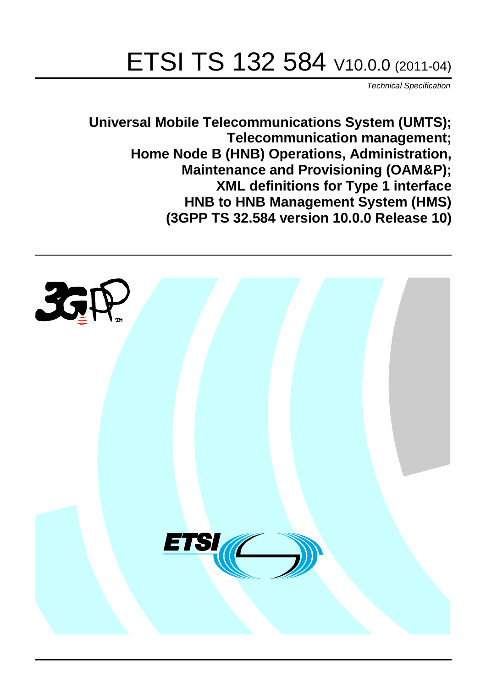# ETSI TS 132 584 V10.0.0 (2011-04)

*Technical Specification*

**Universal Mobile Telecommunications System (UMTS); Telecommunication management; Home Node B (HNB) Operations, Administration, Maintenance and Provisioning (OAM&P); XML definitions for Type 1 interface HNB to HNB Management System (HMS) (3GPP TS 32.584 version 10.0.0 Release 10)**

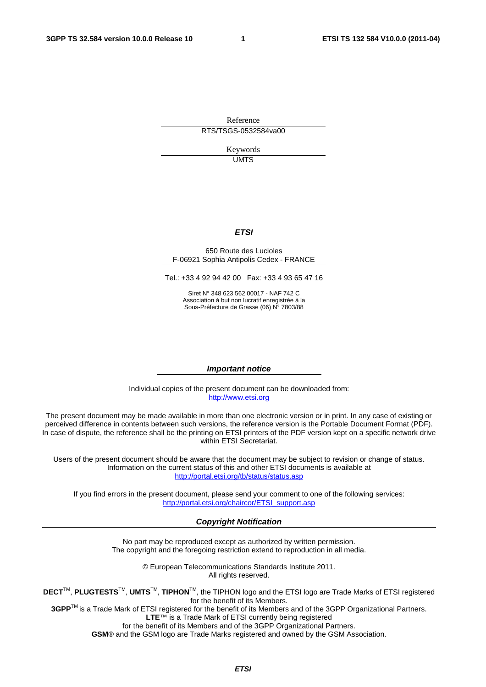Reference RTS/TSGS-0532584va00

> Keywords UMTS

#### *ETSI*

#### 650 Route des Lucioles F-06921 Sophia Antipolis Cedex - FRANCE

Tel.: +33 4 92 94 42 00 Fax: +33 4 93 65 47 16

Siret N° 348 623 562 00017 - NAF 742 C Association à but non lucratif enregistrée à la Sous-Préfecture de Grasse (06) N° 7803/88

#### *Important notice*

Individual copies of the present document can be downloaded from: [http://www.etsi.org](http://www.etsi.org/)

The present document may be made available in more than one electronic version or in print. In any case of existing or perceived difference in contents between such versions, the reference version is the Portable Document Format (PDF). In case of dispute, the reference shall be the printing on ETSI printers of the PDF version kept on a specific network drive within ETSI Secretariat.

Users of the present document should be aware that the document may be subject to revision or change of status. Information on the current status of this and other ETSI documents is available at <http://portal.etsi.org/tb/status/status.asp>

If you find errors in the present document, please send your comment to one of the following services: [http://portal.etsi.org/chaircor/ETSI\\_support.asp](http://portal.etsi.org/chaircor/ETSI_support.asp)

#### *Copyright Notification*

No part may be reproduced except as authorized by written permission. The copyright and the foregoing restriction extend to reproduction in all media.

> © European Telecommunications Standards Institute 2011. All rights reserved.

**DECT**TM, **PLUGTESTS**TM, **UMTS**TM, **TIPHON**TM, the TIPHON logo and the ETSI logo are Trade Marks of ETSI registered for the benefit of its Members.

**3GPP**TM is a Trade Mark of ETSI registered for the benefit of its Members and of the 3GPP Organizational Partners. **LTE**™ is a Trade Mark of ETSI currently being registered

for the benefit of its Members and of the 3GPP Organizational Partners.

**GSM**® and the GSM logo are Trade Marks registered and owned by the GSM Association.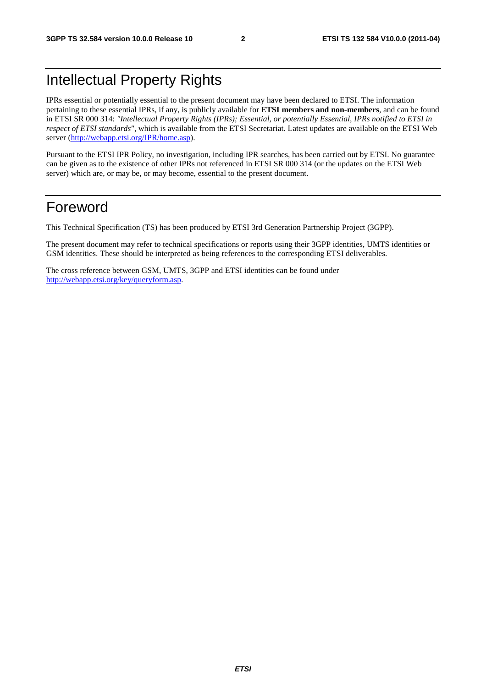# Intellectual Property Rights

IPRs essential or potentially essential to the present document may have been declared to ETSI. The information pertaining to these essential IPRs, if any, is publicly available for **ETSI members and non-members**, and can be found in ETSI SR 000 314: *"Intellectual Property Rights (IPRs); Essential, or potentially Essential, IPRs notified to ETSI in respect of ETSI standards"*, which is available from the ETSI Secretariat. Latest updates are available on the ETSI Web server [\(http://webapp.etsi.org/IPR/home.asp](http://webapp.etsi.org/IPR/home.asp)).

Pursuant to the ETSI IPR Policy, no investigation, including IPR searches, has been carried out by ETSI. No guarantee can be given as to the existence of other IPRs not referenced in ETSI SR 000 314 (or the updates on the ETSI Web server) which are, or may be, or may become, essential to the present document.

### Foreword

This Technical Specification (TS) has been produced by ETSI 3rd Generation Partnership Project (3GPP).

The present document may refer to technical specifications or reports using their 3GPP identities, UMTS identities or GSM identities. These should be interpreted as being references to the corresponding ETSI deliverables.

The cross reference between GSM, UMTS, 3GPP and ETSI identities can be found under <http://webapp.etsi.org/key/queryform.asp>.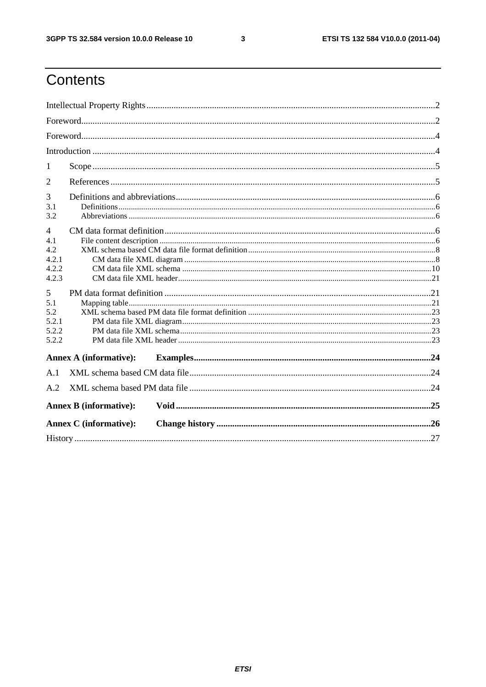$\mathbf{3}$ 

# Contents

| 1                                                       |                               |  |  |  |
|---------------------------------------------------------|-------------------------------|--|--|--|
| 2                                                       |                               |  |  |  |
| 3<br>3.1<br>3.2                                         |                               |  |  |  |
| $\overline{4}$<br>4.1<br>4.2<br>4.2.1<br>4.2.2<br>4.2.3 |                               |  |  |  |
| 5<br>5.1<br>5.2<br>5.2.1<br>5.2.2<br>5.2.2              |                               |  |  |  |
|                                                         | <b>Annex A (informative):</b> |  |  |  |
| A.1                                                     |                               |  |  |  |
| A.2                                                     |                               |  |  |  |
|                                                         | <b>Annex B</b> (informative): |  |  |  |
|                                                         | <b>Annex C</b> (informative): |  |  |  |
|                                                         |                               |  |  |  |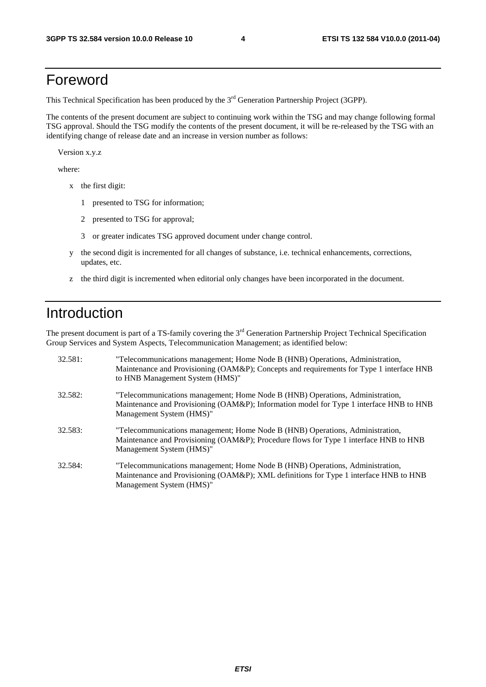### Foreword

This Technical Specification has been produced by the 3<sup>rd</sup> Generation Partnership Project (3GPP).

The contents of the present document are subject to continuing work within the TSG and may change following formal TSG approval. Should the TSG modify the contents of the present document, it will be re-released by the TSG with an identifying change of release date and an increase in version number as follows:

Version x.y.z

where:

- x the first digit:
	- 1 presented to TSG for information;
	- 2 presented to TSG for approval;
	- 3 or greater indicates TSG approved document under change control.
- y the second digit is incremented for all changes of substance, i.e. technical enhancements, corrections, updates, etc.
- z the third digit is incremented when editorial only changes have been incorporated in the document.

### Introduction

The present document is part of a TS-family covering the 3<sup>rd</sup> Generation Partnership Project Technical Specification Group Services and System Aspects, Telecommunication Management; as identified below:

| 32.581: | "Telecommunications management; Home Node B (HNB) Operations, Administration,<br>Maintenance and Provisioning (OAM&P); Concepts and requirements for Type 1 interface HNB<br>to HNB Management System (HMS)" |
|---------|--------------------------------------------------------------------------------------------------------------------------------------------------------------------------------------------------------------|
| 32.582: | "Telecommunications management; Home Node B (HNB) Operations, Administration,<br>Maintenance and Provisioning (OAM&P); Information model for Type 1 interface HNB to HNB<br>Management System (HMS)"         |
| 32.583: | "Telecommunications management; Home Node B (HNB) Operations, Administration,<br>Maintenance and Provisioning (OAM&P); Procedure flows for Type 1 interface HNB to HNB<br>Management System (HMS)"           |
| 32.584: | "Telecommunications management; Home Node B (HNB) Operations, Administration,<br>Maintenance and Provisioning (OAM&P); XML definitions for Type 1 interface HNB to HNB<br>Management System (HMS)"           |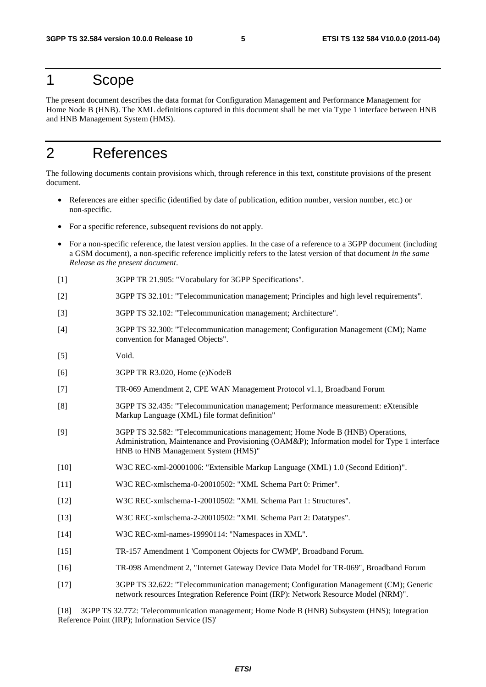### 1 Scope

The present document describes the data format for Configuration Management and Performance Management for Home Node B (HNB). The XML definitions captured in this document shall be met via Type 1 interface between HNB and HNB Management System (HMS).

### 2 References

The following documents contain provisions which, through reference in this text, constitute provisions of the present document.

- References are either specific (identified by date of publication, edition number, version number, etc.) or non-specific.
- For a specific reference, subsequent revisions do not apply.
- For a non-specific reference, the latest version applies. In the case of a reference to a 3GPP document (including a GSM document), a non-specific reference implicitly refers to the latest version of that document *in the same Release as the present document*.
- [1] 3GPP TR 21.905: "Vocabulary for 3GPP Specifications".
- [2] 3GPP TS 32.101: "Telecommunication management; Principles and high level requirements".
- [3] 3GPP TS 32.102: "Telecommunication management; Architecture".
- [4] 3GPP TS 32.300: "Telecommunication management; Configuration Management (CM); Name convention for Managed Objects".
- [5] Void.
- [6] 3GPP TR R3.020, Home (e)NodeB
- [7] TR-069 Amendment 2, CPE WAN Management Protocol v1.1, Broadband Forum
- [8] 3GPP TS 32.435: "Telecommunication management; Performance measurement: eXtensible Markup Language (XML) file format definition"
- [9] 3GPP TS 32.582: "Telecommunications management; Home Node B (HNB) Operations, Administration, Maintenance and Provisioning (OAM&P); Information model for Type 1 interface HNB to HNB Management System (HMS)"
- [10] W3C REC-xml-20001006: "Extensible Markup Language (XML) 1.0 (Second Edition)".
- [11] W3C REC-xmlschema-0-20010502: "XML Schema Part 0: Primer".
- [12] W3C REC-xmlschema-1-20010502: "XML Schema Part 1: Structures".
- [13] W3C REC-xmlschema-2-20010502: "XML Schema Part 2: Datatypes".
- [14] W3C REC-xml-names-19990114: "Namespaces in XML".
- [15] TR-157 Amendment 1 'Component Objects for CWMP', Broadband Forum.
- [16] TR-098 Amendment 2, "Internet Gateway Device Data Model for TR-069", Broadband Forum
- [17] 3GPP TS 32.622: "Telecommunication management; Configuration Management (CM); Generic network resources Integration Reference Point (IRP): Network Resource Model (NRM)".

[18] 3GPP TS 32.772: 'Telecommunication management; Home Node B (HNB) Subsystem (HNS); Integration Reference Point (IRP); Information Service (IS)'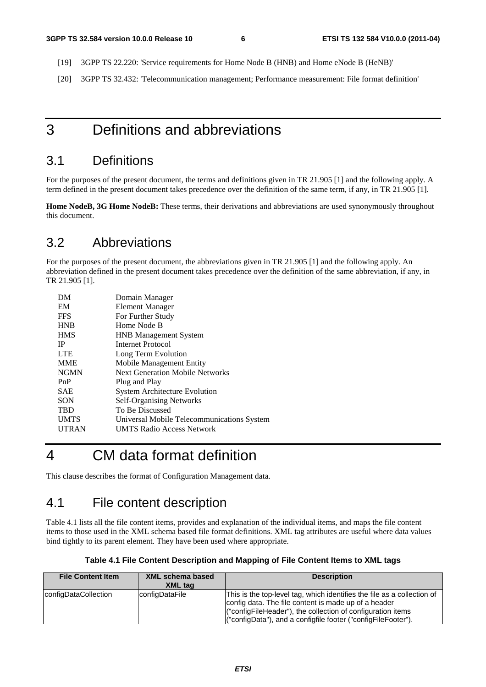- [19] 3GPP TS 22.220: 'Service requirements for Home Node B (HNB) and Home eNode B (HeNB)'
- [20] 3GPP TS 32.432: 'Telecommunication management; Performance measurement: File format definition'

### 3 Definitions and abbreviations

### 3.1 Definitions

For the purposes of the present document, the terms and definitions given in TR 21.905 [1] and the following apply. A term defined in the present document takes precedence over the definition of the same term, if any, in TR 21.905 [1].

**Home NodeB, 3G Home NodeB:** These terms, their derivations and abbreviations are used synonymously throughout this document.

### 3.2 Abbreviations

For the purposes of the present document, the abbreviations given in TR 21.905 [1] and the following apply. An abbreviation defined in the present document takes precedence over the definition of the same abbreviation, if any, in TR 21.905 [1].

| Domain Manager                             |
|--------------------------------------------|
| Element Manager                            |
| For Further Study                          |
| Home Node B                                |
| <b>HNB</b> Management System               |
| Internet Protocol                          |
| Long Term Evolution                        |
| Mobile Management Entity                   |
| <b>Next Generation Mobile Networks</b>     |
| Plug and Play                              |
| <b>System Architecture Evolution</b>       |
| <b>Self-Organising Networks</b>            |
| To Be Discussed                            |
| Universal Mobile Telecommunications System |
| <b>UMTS Radio Access Network</b>           |
|                                            |

# 4 CM data format definition

This clause describes the format of Configuration Management data.

### 4.1 File content description

Table 4.1 lists all the file content items, provides and explanation of the individual items, and maps the file content items to those used in the XML schema based file format definitions. XML tag attributes are useful where data values bind tightly to its parent element. They have been used where appropriate.

| Table 4.1 File Content Description and Mapping of File Content Items to XML tags |  |  |  |  |  |
|----------------------------------------------------------------------------------|--|--|--|--|--|
|----------------------------------------------------------------------------------|--|--|--|--|--|

| <b>File Content Item</b> | <b>XML schema based</b><br>XML tag | <b>Description</b>                                                                                                                                                                                                                                              |
|--------------------------|------------------------------------|-----------------------------------------------------------------------------------------------------------------------------------------------------------------------------------------------------------------------------------------------------------------|
| configDataCollection     | configDataFile                     | This is the top-level tag, which identifies the file as a collection of<br>config data. The file content is made up of a header<br>("configFileHeader"), the collection of configuration items<br>("configData"), and a configfile footer ("configFileFooter"). |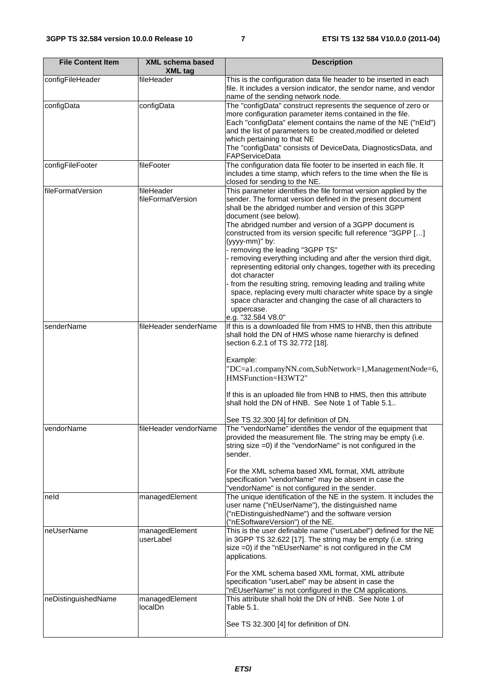| <b>File Content Item</b> | <b>XML schema based</b><br><b>XML tag</b> | <b>Description</b>                                                                                                                                                                                                                                                                                                                                                                                                                                                                                                                                                                                                                                                                                                                                                                                |
|--------------------------|-------------------------------------------|---------------------------------------------------------------------------------------------------------------------------------------------------------------------------------------------------------------------------------------------------------------------------------------------------------------------------------------------------------------------------------------------------------------------------------------------------------------------------------------------------------------------------------------------------------------------------------------------------------------------------------------------------------------------------------------------------------------------------------------------------------------------------------------------------|
| configFileHeader         | fileHeader                                | This is the configuration data file header to be inserted in each<br>file. It includes a version indicator, the sendor name, and vendor<br>name of the sending network node.                                                                                                                                                                                                                                                                                                                                                                                                                                                                                                                                                                                                                      |
| configData               | configData                                | The "configData" construct represents the sequence of zero or<br>more configuration parameter items contained in the file.<br>Each "configData" element contains the name of the NE ("nEId")<br>and the list of parameters to be created, modified or deleted<br>which pertaining to that NE<br>The "configData" consists of DeviceData, DiagnosticsData, and<br>FAPServiceData                                                                                                                                                                                                                                                                                                                                                                                                                   |
| configFileFooter         | fileFooter                                | The configuration data file footer to be inserted in each file. It<br>includes a time stamp, which refers to the time when the file is<br>closed for sending to the NE.                                                                                                                                                                                                                                                                                                                                                                                                                                                                                                                                                                                                                           |
| fileFormatVersion        | fileHeader<br>fileFormatVersion           | This parameter identifies the file format version applied by the<br>sender. The format version defined in the present document<br>shall be the abridged number and version of this 3GPP<br>document (see below).<br>The abridged number and version of a 3GPP document is<br>constructed from its version specific full reference "3GPP []<br>(yyyy-mm)" by:<br>- removing the leading "3GPP TS"<br>- removing everything including and after the version third digit,<br>representing editorial only changes, together with its preceding<br>dot character<br>from the resulting string, removing leading and trailing white<br>space, replacing every multi character white space by a single<br>space character and changing the case of all characters to<br>uppercase.<br>e.g. "32.584 V8.0" |
| senderName               | fileHeader senderName                     | If this is a downloaded file from HMS to HNB, then this attribute<br>shall hold the DN of HMS whose name hierarchy is defined<br>section 6.2.1 of TS 32.772 [18].<br>Example:<br>"DC=a1.companyNN.com,SubNetwork=1,ManagementNode=6,<br>HMSFunction=H3WT2"<br>If this is an uploaded file from HNB to HMS, then this attribute<br>shall hold the DN of HNB. See Note 1 of Table 5.1.<br>See TS 32.300 [4] for definition of DN.                                                                                                                                                                                                                                                                                                                                                                   |
| vendorName               | fileHeader vendorName                     | The "vendorName" identifies the vendor of the equipment that<br>provided the measurement file. The string may be empty (i.e.<br>string size =0) if the "vendorName" is not configured in the<br>sender.<br>For the XML schema based XML format, XML attribute<br>specification "vendorName" may be absent in case the<br>"vendorName" is not configured in the sender.                                                                                                                                                                                                                                                                                                                                                                                                                            |
| neld                     | managedElement                            | The unique identification of the NE in the system. It includes the<br>user name ("nEUserName"), the distinguished name<br>("nEDistinguishedName") and the software version<br>("nESoftwareVersion") of the NE.                                                                                                                                                                                                                                                                                                                                                                                                                                                                                                                                                                                    |
| neUserName               | managedElement<br>userLabel               | This is the user definable name ("userLabel") defined for the NE<br>in 3GPP TS 32.622 [17]. The string may be empty (i.e. string<br>size =0) if the "nEUserName" is not configured in the CM<br>applications.<br>For the XML schema based XML format, XML attribute<br>specification "userLabel" may be absent in case the                                                                                                                                                                                                                                                                                                                                                                                                                                                                        |
| neDistinguishedName      | managedElement<br>localDn                 | "nEUserName" is not configured in the CM applications.<br>This attribute shall hold the DN of HNB. See Note 1 of<br>Table 5.1.<br>See TS 32.300 [4] for definition of DN.                                                                                                                                                                                                                                                                                                                                                                                                                                                                                                                                                                                                                         |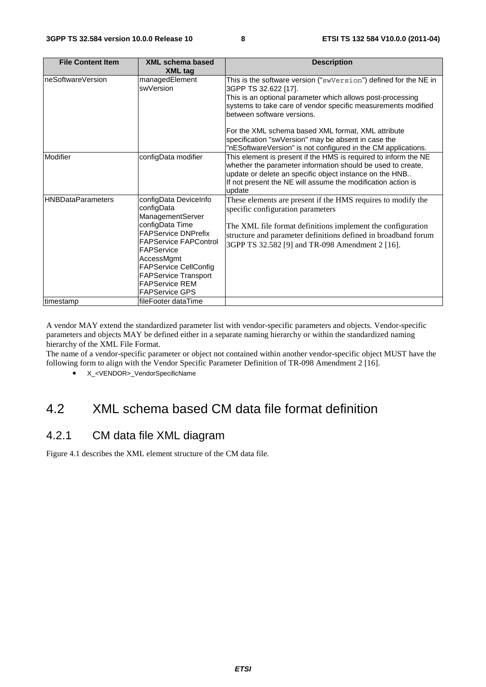| <b>File Content Item</b>  | <b>XML schema based</b><br><b>XML tag</b>                                                                                                                                                                                                                                             | <b>Description</b>                                                                                                                                                                                                                                                                                                                                                                                                                  |
|---------------------------|---------------------------------------------------------------------------------------------------------------------------------------------------------------------------------------------------------------------------------------------------------------------------------------|-------------------------------------------------------------------------------------------------------------------------------------------------------------------------------------------------------------------------------------------------------------------------------------------------------------------------------------------------------------------------------------------------------------------------------------|
| neSoftwareVersion         | managedElement<br>swVersion                                                                                                                                                                                                                                                           | This is the software version ("swVersion") defined for the NE in<br>3GPP TS 32.622 [17].<br>This is an optional parameter which allows post-processing<br>systems to take care of vendor specific measurements modified<br>between software versions.<br>For the XML schema based XML format, XML attribute<br>specification "swVersion" may be absent in case the<br>"nESoftwareVersion" is not configured in the CM applications. |
| Modifier                  | configData modifier                                                                                                                                                                                                                                                                   | This element is present if the HMS is required to inform the NE<br>whether the parameter information should be used to create,<br>update or delete an specific object instance on the HNB<br>If not present the NE will assume the modification action is<br>update                                                                                                                                                                 |
| <b>IHNBDataParameters</b> | configData DeviceInfo<br>configData<br>ManagementServer<br>configData Time<br><b>FAPService DNPrefix</b><br><b>FAPService FAPControl</b><br>FAPService<br>AccessMgmt<br><b>FAPService CellConfig</b><br><b>FAPService Transport</b><br><b>FAPService REM</b><br><b>FAPService GPS</b> | These elements are present if the HMS requires to modify the<br>specific configuration parameters<br>The XML file format definitions implement the configuration<br>structure and parameter definitions defined in broadband forum<br>3GPP TS 32.582 [9] and TR-098 Amendment 2 [16].                                                                                                                                               |
| timestamp                 | fileFooter dataTime                                                                                                                                                                                                                                                                   |                                                                                                                                                                                                                                                                                                                                                                                                                                     |

A vendor MAY extend the standardized parameter list with vendor-specific parameters and objects. Vendor-specific parameters and objects MAY be defined either in a separate naming hierarchy or within the standardized naming hierarchy of the XML File Format.

The name of a vendor-specific parameter or object not contained within another vendor-specific object MUST have the following form to align with the Vendor Specific Parameter Definition of TR-098 Amendment 2 [16].

• X <VENDOR> VendorSpecificName

### 4.2 XML schema based CM data file format definition

#### 4.2.1 CM data file XML diagram

Figure 4.1 describes the XML element structure of the CM data file.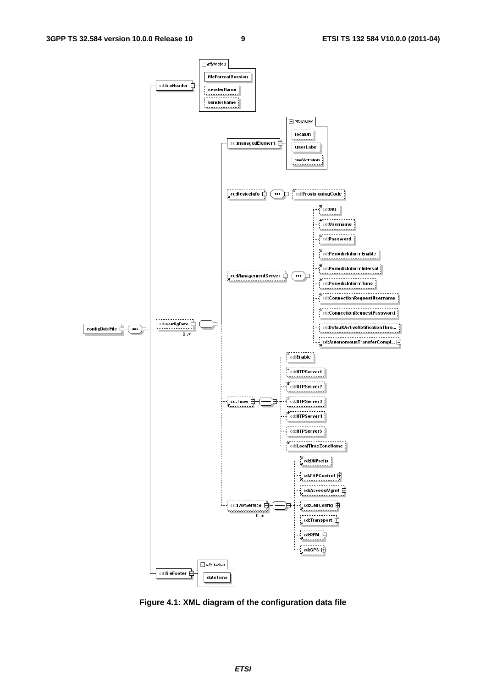

**Figure 4.1: XML diagram of the configuration data file**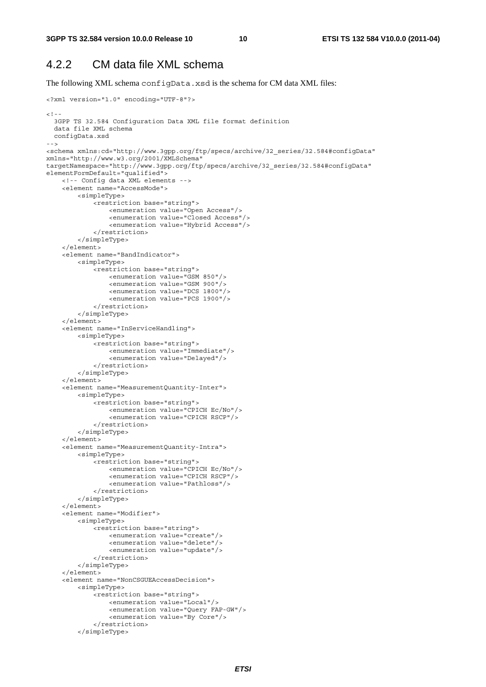#### 4.2.2 CM data file XML schema

The following XML schema configData.xsd is the schema for CM data XML files:

```
<?xml version="1.0" encoding="UTF-8"?> 
<! - -
   3GPP TS 32.584 Configuration Data XML file format definition 
   data file XML schema 
  configData.xsd 
--> 
<schema xmlns:cd="http://www.3gpp.org/ftp/specs/archive/32_series/32.584#configData" 
xmlns="http://www.w3.org/2001/XMLSchema" 
targetNamespace="http://www.3gpp.org/ftp/specs/archive/32_series/32.584#configData" 
elementFormDefault="qualified"> 
     <!-- Config data XML elements --> 
     <element name="AccessMode"> 
         <simpleType> 
              <restriction base="string"> 
                  <enumeration value="Open Access"/> 
                  <enumeration value="Closed Access"/> 
                  <enumeration value="Hybrid Access"/> 
              </restriction> 
         </simpleType> 
     </element> 
     <element name="BandIndicator"> 
         <simpleType> 
              <restriction base="string"> 
                  <enumeration value="GSM 850"/> 
                  <enumeration value="GSM 900"/> 
                  <enumeration value="DCS 1800"/> 
                  <enumeration value="PCS 1900"/> 
              </restriction> 
         </simpleType> 
     </element> 
     <element name="InServiceHandling"> 
         <simpleType> 
              <restriction base="string"> 
                  <enumeration value="Immediate"/> 
                  <enumeration value="Delayed"/> 
              </restriction> 
         </simpleType> 
     </element> 
     <element name="MeasurementQuantity-Inter"> 
         <simpleType> 
              <restriction base="string"> 
                  <enumeration value="CPICH Ec/No"/> 
                  <enumeration value="CPICH RSCP"/> 
              </restriction> 
          </simpleType> 
     </element> 
     <element name="MeasurementQuantity-Intra"> 
         <simpleType> 
              <restriction base="string"> 
                  <enumeration value="CPICH Ec/No"/> 
                  <enumeration value="CPICH RSCP"/> 
                  <enumeration value="Pathloss"/> 
              </restriction> 
         </simpleType> 
     </element> 
     <element name="Modifier"> 
         <simpleType> 
              <restriction base="string"> 
                  <enumeration value="create"/> 
                  <enumeration value="delete"/> 
                  <enumeration value="update"/> 
              </restriction> 
          </simpleType> 
     </element> 
     <element name="NonCSGUEAccessDecision"> 
         <simpleType> 
              <restriction base="string"> 
                  <enumeration value="Local"/> 
                  <enumeration value="Query FAP-GW"/> 
                  <enumeration value="By Core"/> 
              </restriction> 
          </simpleType>
```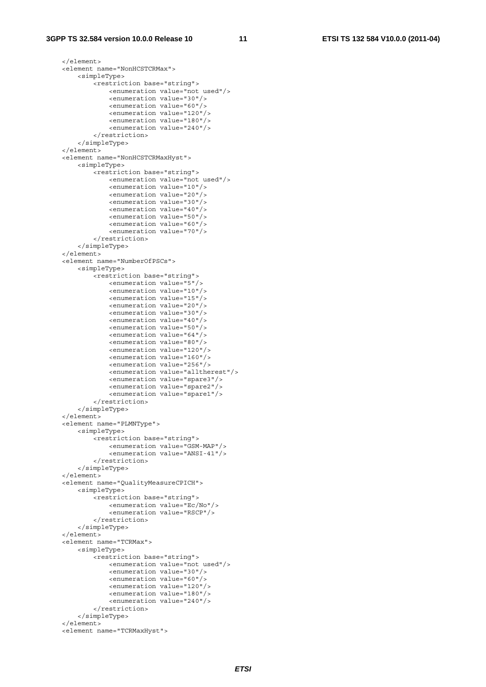```
 </element> 
 <element name="NonHCSTCRMax"> 
     <simpleType> 
         <restriction base="string"> 
              <enumeration value="not used"/> 
              <enumeration value="30"/> 
              <enumeration value="60"/> 
              <enumeration value="120"/> 
              <enumeration value="180"/> 
              <enumeration value="240"/> 
         </restriction> 
     </simpleType> 
 </element> 
 <element name="NonHCSTCRMaxHyst"> 
     <simpleType> 
         <restriction base="string"> 
              <enumeration value="not used"/> 
              <enumeration value="10"/> 
              <enumeration value="20"/> 
              <enumeration value="30"/> 
              <enumeration value="40"/> 
              <enumeration value="50"/> 
              <enumeration value="60"/> 
              <enumeration value="70"/> 
         </restriction> 
     </simpleType> 
 </element> 
 <element name="NumberOfPSCs"> 
     <simpleType> 
        -<br>///wetriction base="string">
              <enumeration value="5"/> 
              <enumeration value="10"/> 
              <enumeration value="15"/> 
              <enumeration value="20"/> 
              <enumeration value="30"/> 
              <enumeration value="40"/> 
              <enumeration value="50"/> 
              <enumeration value="64"/> 
              <enumeration value="80"/> 
              <enumeration value="120"/> 
              <enumeration value="160"/> 
              <enumeration value="256"/> 
              <enumeration value="alltherest"/> 
              <enumeration value="spare3"/> 
              <enumeration value="spare2"/> 
              <enumeration value="spare1"/> 
         </restriction> 
     </simpleType> 
 </element> 
 <element name="PLMNType"> 
     <simpleType> 
         <restriction base="string"> 
              <enumeration value="GSM-MAP"/> 
              <enumeration value="ANSI-41"/> 
         </restriction> 
     </simpleType> 
 </element> 
 <element name="QualityMeasureCPICH"> 
     <simpleType> 
         <restriction base="string"> 
              <enumeration value="Ec/No"/> 
              <enumeration value="RSCP"/> 
         </restriction> 
     </simpleType> 
\epsilon/element>
 <element name="TCRMax"> 
     <simpleType> 
         <restriction base="string"> 
              <enumeration value="not used"/> 
              <enumeration value="30"/> 
              <enumeration value="60"/> 
              <enumeration value="120"/> 
              <enumeration value="180"/> 
              <enumeration value="240"/> 
         </restriction> 
     </simpleType> 
 </element> 
 <element name="TCRMaxHyst">
```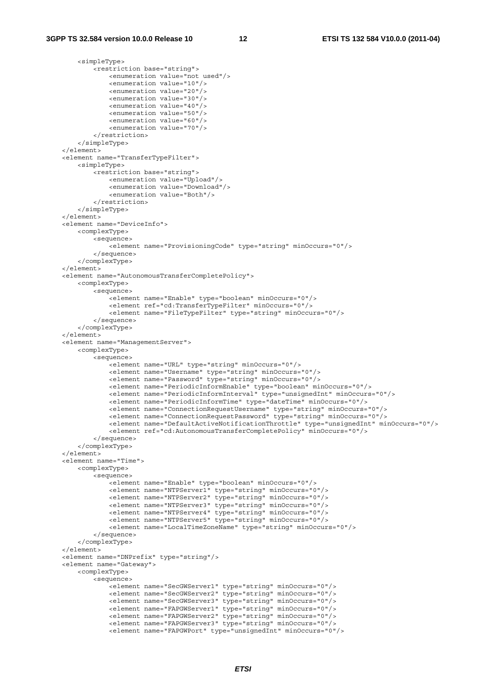<simpleType>

```
 <restriction base="string"> 
                 <enumeration value="not used"/> 
                 <enumeration value="10"/> 
                 <enumeration value="20"/> 
                 <enumeration value="30"/> 
                 <enumeration value="40"/> 
                 <enumeration value="50"/> 
                 <enumeration value="60"/> 
                 <enumeration value="70"/> 
             </restriction> 
         </simpleType> 
    </element> 
    <element name="TransferTypeFilter"> 
         <simpleType> 
             <restriction base="string"> 
                 <enumeration value="Upload"/> 
                 <enumeration value="Download"/> 
                 <enumeration value="Both"/> 
             </restriction> 
         </simpleType> 
    </element> 
    <element name="DeviceInfo"> 
         <complexType> 
             <sequence> 
                 <element name="ProvisioningCode" type="string" minOccurs="0"/> 
             </sequence> 
         </complexType> 
    </element> 
    <element name="AutonomousTransferCompletePolicy"> 
        <complexType> 
             <sequence> 
                .<br><element name="Enable" type="boolean" minOccurs="0"/>
                 <element ref="cd:TransferTypeFilter" minOccurs="0"/> 
                 <element name="FileTypeFilter" type="string" minOccurs="0"/> 
             </sequence> 
         </complexType> 
    </element> 
    <element name="ManagementServer"> 
         <complexType> 
             <sequence> 
                -<br><element name="URL" type="string" minOccurs="0"/>
                 <element name="Username" type="string" minOccurs="0"/> 
                 <element name="Password" type="string" minOccurs="0"/> 
                 <element name="PeriodicInformEnable" type="boolean" minOccurs="0"/> 
                 <element name="PeriodicInformInterval" type="unsignedInt" minOccurs="0"/> 
                 <element name="PeriodicInformTime" type="dateTime" minOccurs="0"/> 
                 <element name="ConnectionRequestUsername" type="string" minOccurs="0"/> 
                 <element name="ConnectionRequestPassword" type="string" minOccurs="0"/> 
                 <element name="DefaultActiveNotificationThrottle" type="unsignedInt" minOccurs="0"/> 
                 <element ref="cd:AutonomousTransferCompletePolicy" minOccurs="0"/> 
             </sequence> 
         </complexType> 
     </element> 
    <element name="Time"> 
        <complexType> 
             <sequence> 
                 <element name="Enable" type="boolean" minOccurs="0"/> 
 <element name="NTPServer1" type="string" minOccurs="0"/> 
 <element name="NTPServer2" type="string" minOccurs="0"/> 
                 <element name="NTPServer3" type="string" minOccurs="0"/> 
                 <element name="NTPServer4" type="string" minOccurs="0"/> 
                 <element name="NTPServer5" type="string" minOccurs="0"/> 
                 <element name="LocalTimeZoneName" type="string" minOccurs="0"/> 
             </sequence> 
         </complexType> 
     </element> 
    <element name="DNPrefix" type="string"/> 
    <element name="Gateway"> 
         <complexType> 
             <sequence> 
                 <element name="SecGWServer1" type="string" minOccurs="0"/> 
                 <element name="SecGWServer2" type="string" minOccurs="0"/> 
 <element name="SecGWServer3" type="string" minOccurs="0"/> 
 <element name="FAPGWServer1" type="string" minOccurs="0"/> 
                 <element name="FAPGWServer2" type="string" minOccurs="0"/> 
                 <element name="FAPGWServer3" type="string" minOccurs="0"/> 
                 <element name="FAPGWPort" type="unsignedInt" minOccurs="0"/>
```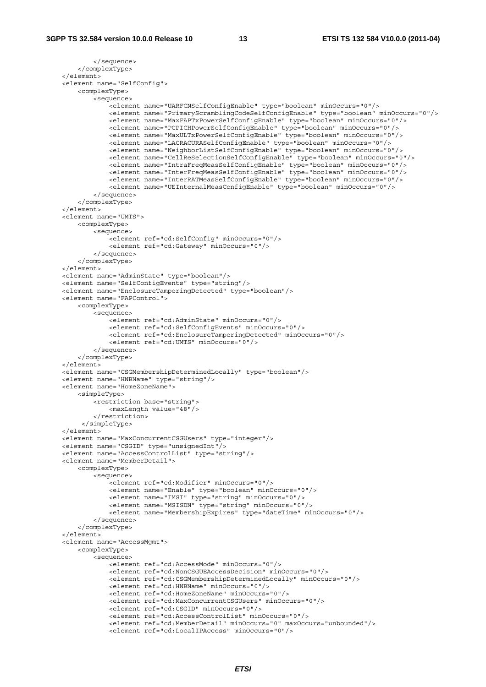```
 </sequence> 
         </complexType> 
     </element> 
    <element name="SelfConfig"> 
         <complexType> 
             <sequence> 
                -<br>-<element name="UARFCNSelfConfigEnable" type="boolean" minOccurs="0"/>
                 <element name="PrimaryScramblingCodeSelfConfigEnable" type="boolean" minOccurs="0"/> 
                 <element name="MaxFAPTxPowerSelfConfigEnable" type="boolean" minOccurs="0"/> 
                 <element name="PCPICHPowerSelfConfigEnable" type="boolean" minOccurs="0"/> 
                 <element name="MaxULTxPowerSelfConfigEnable" type="boolean" minOccurs="0"/> 
                 <element name="LACRACURASelfConfigEnable" type="boolean" minOccurs="0"/> 
                 <element name="NeighborListSelfConfigEnable" type="boolean" minOccurs="0"/> 
                 <element name="CellReSelectionSelfConfigEnable" type="boolean" minOccurs="0"/> 
                 <element name="IntraFreqMeasSelfConfigEnable" type="boolean" minOccurs="0"/> 
                 <element name="InterFreqMeasSelfConfigEnable" type="boolean" minOccurs="0"/> 
                 <element name="InterRATMeasSelfConfigEnable" type="boolean" minOccurs="0"/> 
                 <element name="UEInternalMeasConfigEnable" type="boolean" minOccurs="0"/> 
             </sequence> 
         </complexType> 
    </element> 
    <element name="UMTS"> 
         <complexType> 
             <sequence> 
                .<br><element ref="cd:SelfConfig" minOccurs="0"/>
                 <element ref="cd:Gateway" minOccurs="0"/> 
             </sequence> 
         </complexType> 
    </element> 
    <element name="AdminState" type="boolean"/> 
    <element name="SelfConfigEvents" type="string"/> 
     <element name="EnclosureTamperingDetected" type="boolean"/> 
    <element name="FAPControl"> 
         <complexType> 
             <sequence> 
                 <element ref="cd:AdminState" minOccurs="0"/> 
                 <element ref="cd:SelfConfigEvents" minOccurs="0"/> 
                 <element ref="cd:EnclosureTamperingDetected" minOccurs="0"/> 
                 <element ref="cd:UMTS" minOccurs="0"/> 
             </sequence> 
         </complexType> 
    </element> 
    <element name="CSGMembershipDeterminedLocally" type="boolean"/> 
    <element name="HNBName" type="string"/> 
    <element name="HomeZoneName"> 
         <simpleType> 
             <restriction base="string"> 
                 <maxLength value="48"/> 
             </restriction> 
          </simpleType> 
    </element> 
    <element name="MaxConcurrentCSGUsers" type="integer"/> 
     <element name="CSGID" type="unsignedInt"/> 
     <element name="AccessControlList" type="string"/> 
    <element name="MemberDetail"> 
         <complexType> 
             <sequence> 
                 <element ref="cd:Modifier" minOccurs="0"/> 
                 <element name="Enable" type="boolean" minOccurs="0"/> 
                 <element name="IMSI" type="string" minOccurs="0"/> 
                 <element name="MSISDN" type="string" minOccurs="0"/> 
                 <element name="MembershipExpires" type="dateTime" minOccurs="0"/> 
             </sequence> 
         </complexType> 
    \epsilon/elements
    <element name="AccessMgmt"> 
         <complexType> 
             <sequence> 
                 <element ref="cd:AccessMode" minOccurs="0"/> 
                 <element ref="cd:NonCSGUEAccessDecision" minOccurs="0"/> 
                 <element ref="cd:CSGMembershipDeterminedLocally" minOccurs="0"/> 
                 <element ref="cd:HNBName" minOccurs="0"/> 
                 <element ref="cd:HomeZoneName" minOccurs="0"/> 
                 <element ref="cd:MaxConcurrentCSGUsers" minOccurs="0"/> 
                 <element ref="cd:CSGID" minOccurs="0"/> 
                 <element ref="cd:AccessControlList" minOccurs="0"/> 
 <element ref="cd:MemberDetail" minOccurs="0" maxOccurs="unbounded"/> 
 <element ref="cd:LocalIPAccess" minOccurs="0"/>
```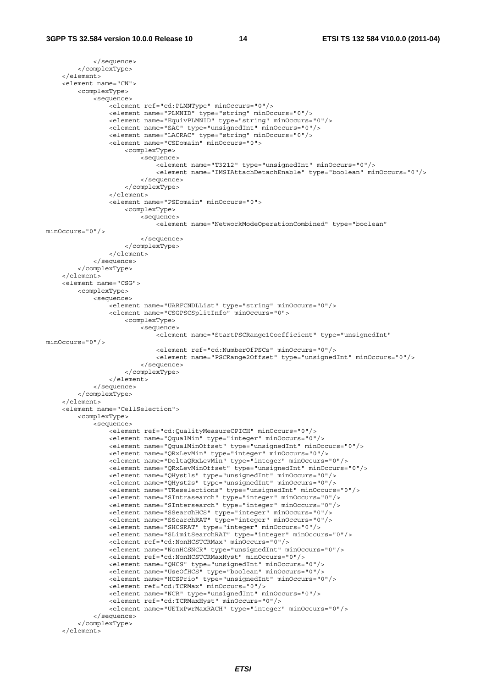```
 </sequence> 
         </complexType> 
     </element> 
     <element name="CN"> 
         <complexType> 
             <sequence> 
                -<br><element ref="cd:PLMNTvpe" minOccurs="0"/>
                 <element name="PLMNID" type="string" minOccurs="0"/> 
                 <element name="EquivPLMNID" type="string" minOccurs="0"/> 
                  <element name="SAC" type="unsignedInt" minOccurs="0"/> 
                 <element name="LACRAC" type="string" minOccurs="0"/> 
                 <element name="CSDomain" minOccurs="0"> 
                      <complexType> 
                          <sequence> 
                              <element name="T3212" type="unsignedInt" minOccurs="0"/> 
                              <element name="IMSIAttachDetachEnable" type="boolean" minOccurs="0"/> 
                          </sequence> 
                      </complexType> 
                  </element> 
                  <element name="PSDomain" minOccurs="0"> 
                     <complexType> 
                          <sequence> 
                              <element name="NetworkModeOperationCombined" type="boolean" 
minOccurs="0"/> 
                          </sequence> 
                      </complexType> 
                 </element> 
             </sequence> 
         </complexType> 
    \sim/element\sim <element name="CSG"> 
         <complexType> 
             <sequence> 
                 <element name="UARFCNDLList" type="string" minOccurs="0"/> 
                  <element name="CSGPSCSplitInfo" minOccurs="0"> 
                      <complexType> 
                          <sequence> 
                             .<br><element name="StartPSCRange1Coefficient" type="unsignedInt"
minOccurs="0"/> 
                              <element ref="cd:NumberOfPSCs" minOccurs="0"/> 
                              <element name="PSCRange2Offset" type="unsignedInt" minOccurs="0"/> 
                          </sequence> 
                      </complexType> 
                 </element> 
             </sequence> 
         </complexType> 
     </element> 
     <element name="CellSelection"> 
         <complexType> 
             <sequence> 
                 <element ref="cd:QualityMeasureCPICH" minOccurs="0"/> 
                  <element name="QqualMin" type="integer" minOccurs="0"/> 
                  <element name="QqualMinOffset" type="unsignedInt" minOccurs="0"/> 
                  <element name="QRxLevMin" type="integer" minOccurs="0"/> 
                 <element name="DeltaQRxLevMin" type="integer" minOccurs="0"/> 
                 <element name="QRxLevMinOffset" type="unsignedInt" minOccurs="0"/> 
                  <element name="QHyst1s" type="unsignedInt" minOccurs="0"/> 
                 <element name="QHyst2s" type="unsignedInt" minOccurs="0"/> 
                 <element name="TReselections" type="unsignedInt" minOccurs="0"/> 
                 <element name="SIntrasearch" type="integer" minOccurs="0"/> 
                 <element name="SIntersearch" type="integer" minOccurs="0"/> 
                  <element name="SSearchHCS" type="integer" minOccurs="0"/> 
                 <element name="SSearchRAT" type="integer" minOccurs="0"/> 
 <element name="SHCSRAT" type="integer" minOccurs="0"/> 
 <element name="SLimitSearchRAT" type="integer" minOccurs="0"/> 
                 <element ref="cd:NonHCSTCRMax" minOccurs="0"/> 
                  <element name="NonHCSNCR" type="unsignedInt" minOccurs="0"/> 
                 <element ref="cd:NonHCSTCRMaxHyst" minOccurs="0"/> 
 <element name="QHCS" type="unsignedInt" minOccurs="0"/> 
 <element name="UseOfHCS" type="boolean" minOccurs="0"/> 
                  <element name="HCSPrio" type="unsignedInt" minOccurs="0"/> 
                 <element ref="cd:TCRMax" minOccurs="0"/> 
                 <element name="NCR" type="unsignedInt" minOccurs="0"/> 
                 <element ref="cd:TCRMaxHyst" minOccurs="0"/> 
                  <element name="UETxPwrMaxRACH" type="integer" minOccurs="0"/> 
             </sequence> 
         </complexType> 
     </element>
```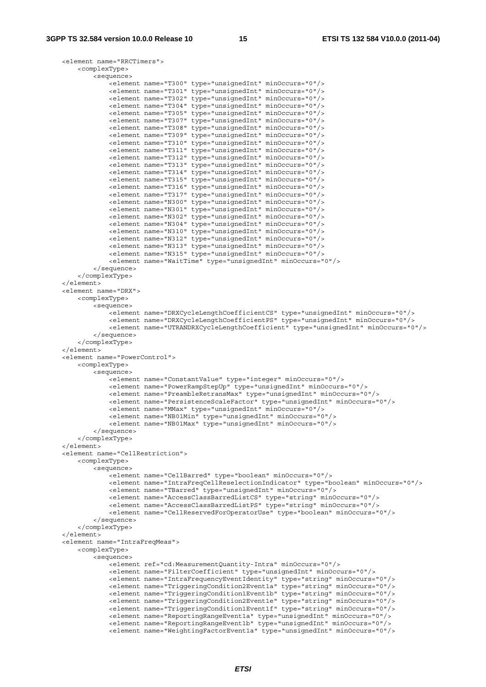```
 <element name="RRCTimers"> 
     <complexType> 
         <sequence> 
             <element name="T300" type="unsignedInt" minOccurs="0"/> 
             <element name="T301" type="unsignedInt" minOccurs="0"/> 
             <element name="T302" type="unsignedInt" minOccurs="0"/> 
             <element name="T304" type="unsignedInt" minOccurs="0"/> 
             <element name="T305" type="unsignedInt" minOccurs="0"/> 
             <element name="T307" type="unsignedInt" minOccurs="0"/> 
             <element name="T308" type="unsignedInt" minOccurs="0"/> 
             <element name="T309" type="unsignedInt" minOccurs="0"/> 
             <element name="T310" type="unsignedInt" minOccurs="0"/> 
             <element name="T311" type="unsignedInt" minOccurs="0"/> 
             <element name="T312" type="unsignedInt" minOccurs="0"/> 
             <element name="T313" type="unsignedInt" minOccurs="0"/> 
             <element name="T314" type="unsignedInt" minOccurs="0"/> 
             <element name="T315" type="unsignedInt" minOccurs="0"/> 
             <element name="T316" type="unsignedInt" minOccurs="0"/> 
             <element name="T317" type="unsignedInt" minOccurs="0"/> 
             <element name="N300" type="unsignedInt" minOccurs="0"/> 
             <element name="N301" type="unsignedInt" minOccurs="0"/> 
             <element name="N302" type="unsignedInt" minOccurs="0"/> 
             <element name="N304" type="unsignedInt" minOccurs="0"/> 
             <element name="N310" type="unsignedInt" minOccurs="0"/> 
             <element name="N312" type="unsignedInt" minOccurs="0"/> 
             <element name="N313" type="unsignedInt" minOccurs="0"/> 
             <element name="N315" type="unsignedInt" minOccurs="0"/> 
             <element name="WaitTime" type="unsignedInt" minOccurs="0"/> 
         </sequence> 
     </complexType> 
 </element> 
 <element name="DRX"> 
     <complexType> 
         <sequence> 
             <element name="DRXCycleLengthCoefficientCS" type="unsignedInt" minOccurs="0"/> 
             <element name="DRXCycleLengthCoefficientPS" type="unsignedInt" minOccurs="0"/> 
             <element name="UTRANDRXCycleLengthCoefficient" type="unsignedInt" minOccurs="0"/> 
         </sequence> 
     </complexType> 
 </element> 
 <element name="PowerControl"> 
    <complexType> 
         <sequence> 
             <element name="ConstantValue" type="integer" minOccurs="0"/> 
             <element name="PowerRampStepUp" type="unsignedInt" minOccurs="0"/> 
             <element name="PreambleRetransMax" type="unsignedInt" minOccurs="0"/> 
             <element name="PersistenceScaleFactor" type="unsignedInt" minOccurs="0"/> 
             <element name="MMax" type="unsignedInt" minOccurs="0"/> 
             <element name="NB01Min" type="unsignedInt" minOccurs="0"/> 
             <element name="NB01Max" type="unsignedInt" minOccurs="0"/> 
         </sequence> 
     </complexType> 
 </element> 
 <element name="CellRestriction"> 
     <complexType> 
         <sequence> 
             <element name="CellBarred" type="boolean" minOccurs="0"/> 
             <element name="IntraFreqCellReselectionIndicator" type="boolean" minOccurs="0"/> 
             <element name="TBarred" type="unsignedInt" minOccurs="0"/> 
             <element name="AccessClassBarredListCS" type="string" minOccurs="0"/> 
             <element name="AccessClassBarredListPS" type="string" minOccurs="0"/> 
             <element name="CellReservedForOperatorUse" type="boolean" minOccurs="0"/> 
         </sequence> 
     </complexType> 
\epsilon/elements
 <element name="IntraFreqMeas"> 
     <complexType> 
         <sequence> 
             <element ref="cd:MeasurementQuantity-Intra" minOccurs="0"/> 
             <element name="FilterCoefficient" type="unsignedInt" minOccurs="0"/> 
             <element name="IntraFrequencyEventIdentity" type="string" minOccurs="0"/> 
             <element name="TriggeringCondition2Event1a" type="string" minOccurs="0"/> 
             <element name="TriggeringCondition1Event1b" type="string" minOccurs="0"/> 
             <element name="TriggeringCondition2Event1e" type="string" minOccurs="0"/> 
             <element name="TriggeringCondition1Event1f" type="string" minOccurs="0"/> 
             <element name="ReportingRangeEvent1a" type="unsignedInt" minOccurs="0"/> 
             <element name="ReportingRangeEvent1b" type="unsignedInt" minOccurs="0"/> 
             <element name="WeightingFactorEvent1a" type="unsignedInt" minOccurs="0"/>
```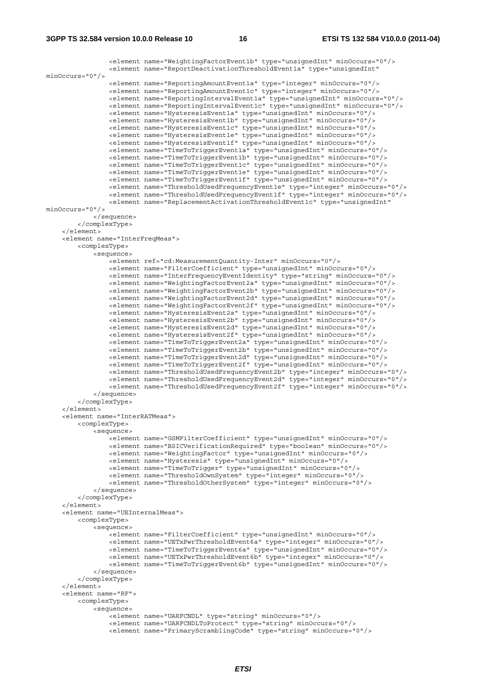```
 <element name="WeightingFactorEvent1b" type="unsignedInt" minOccurs="0"/> 
                <element name="ReportDeactivationThresholdEvent1a" type="unsignedInt" 
minOccurs="0"/> 
 <element name="ReportingAmountEvent1a" type="integer" minOccurs="0"/> 
 <element name="ReportingAmountEvent1c" type="integer" minOccurs="0"/> 
                 <element name="ReportingIntervalEvent1a" type="unsignedInt" minOccurs="0"/> 
                <element name="ReportingIntervalEvent1c" type="unsignedInt" minOccurs="0"/> 
                <element name="HysteresisEvent1a" type="unsignedInt" minOccurs="0"/> 
                <element name="HysteresisEvent1b" type="unsignedInt" minOccurs="0"/> 
                 <element name="HysteresisEvent1c" type="unsignedInt" minOccurs="0"/> 
                <element name="HysteresisEvent1e" type="unsignedInt" minOccurs="0"/> 
                <element name="HysteresisEvent1f" type="unsignedInt" minOccurs="0"/> 
                 <element name="TimeToTriggerEvent1a" type="unsignedInt" minOccurs="0"/> 
                 <element name="TimeToTriggerEvent1b" type="unsignedInt" minOccurs="0"/> 
 <element name="TimeToTriggerEvent1c" type="unsignedInt" minOccurs="0"/> 
 <element name="TimeToTriggerEvent1e" type="unsignedInt" minOccurs="0"/> 
                <element name="TimeToTriggerEvent1f" type="unsignedInt" minOccurs="0"/> 
                 <element name="ThresholdUsedFrequencyEvent1e" type="integer" minOccurs="0"/> 
                 <element name="ThresholdUsedFrequencyEvent1f" type="integer" minOccurs="0"/> 
                <element name="ReplacementActivationThresholdEvent1c" type="unsignedInt" 
minOccurs="0"/> 
            </sequence> 
         </complexType> 
     </element> 
     <element name="InterFreqMeas"> 
         <complexType> 
            <sequence> 
                 <element ref="cd:MeasurementQuantity-Inter" minOccurs="0"/> 
                <element name="FilterCoefficient" type="unsignedInt" minOccurs="0"/> 
 <element name="InterFrequencyEventIdentity" type="string" minOccurs="0"/> 
 <element name="WeightingFactorEvent2a" type="unsignedInt" minOccurs="0"/> 
                 <element name="WeightingFactorEvent2b" type="unsignedInt" minOccurs="0"/> 
                <element name="WeightingFactorEvent2d" type="unsignedInt" minOccurs="0"/> 
                <element name="WeightingFactorEvent2f" type="unsignedInt" minOccurs="0"/> 
 <element name="HysteresisEvent2a" type="unsignedInt" minOccurs="0"/> 
 <element name="HysteresisEvent2b" type="unsignedInt" minOccurs="0"/> 
                <element name="HysteresisEvent2d" type="unsignedInt" minOccurs="0"/> 
                <element name="HysteresisEvent2f" type="unsignedInt" minOccurs="0"/> 
                <element name="TimeToTriggerEvent2a" type="unsignedInt" minOccurs="0"/> 
                 <element name="TimeToTriggerEvent2b" type="unsignedInt" minOccurs="0"/> 
 <element name="TimeToTriggerEvent2d" type="unsignedInt" minOccurs="0"/> 
 <element name="TimeToTriggerEvent2f" type="unsignedInt" minOccurs="0"/> 
 <element name="ThresholdUsedFrequencyEvent2b" type="integer" minOccurs="0"/> 
 <element name="ThresholdUsedFrequencyEvent2d" type="integer" minOccurs="0"/> 
                 <element name="ThresholdUsedFrequencyEvent2f" type="integer" minOccurs="0"/> 
            </sequence> 
         </complexType> 
     </element> 
     <element name="InterRATMeas"> 
         <complexType> 
            <sequence> 
               -<br>-<element name="GSMFilterCoefficient" type="unsignedInt" minOccurs="0"/>
                 <element name="BSICVerificationRequired" type="boolean" minOccurs="0"/> 
                 <element name="WeightingFactor" type="unsignedInt" minOccurs="0"/> 
                <element name="Hysteresis" type="unsignedInt" minOccurs="0"/> 
                <element name="TimeToTrigger" type="unsignedInt" minOccurs="0"/> 
                 <element name="ThresholdOwnSystem" type="integer" minOccurs="0"/> 
                <element name="ThresholdOtherSystem" type="integer" minOccurs="0"/> 
            </sequence> 
         </complexType> 
     </element> 
     <element name="UEInternalMeas"> 
        <complexType> 
            <sequence> 
                <element name="FilterCoefficient" type="unsignedInt" minOccurs="0"/> 
                 <element name="UETxPwrThresholdEvent6a" type="integer" minOccurs="0"/> 
                 <element name="TimeToTriggerEvent6a" type="unsignedInt" minOccurs="0"/> 
                <element name="UETxPwrThresholdEvent6b" type="integer" minOccurs="0"/> 
                <element name="TimeToTriggerEvent6b" type="unsignedInt" minOccurs="0"/> 
             </sequence> 
         </complexType> 
     </element> 
     <element name="RF"> 
         <complexType> 
             <sequence> 
                <element name="UARFCNDL" type="string" minOccurs="0"/> 
 <element name="UARFCNDLToProtect" type="string" minOccurs="0"/> 
 <element name="PrimaryScramblingCode" type="string" minOccurs="0"/>
```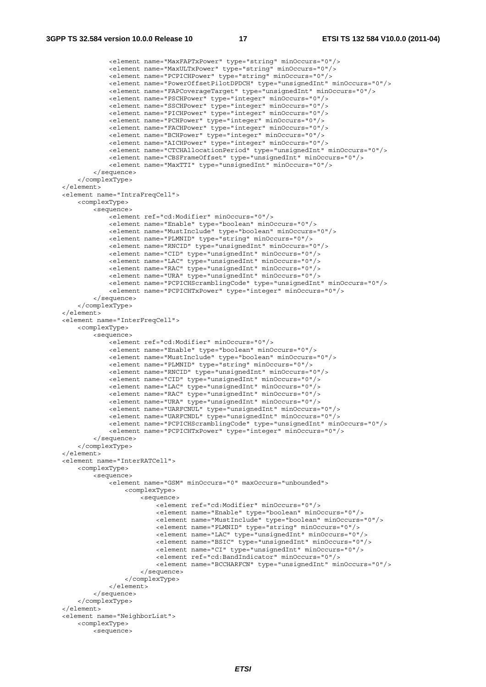```
 <element name="MaxFAPTxPower" type="string" minOccurs="0"/> 
 <element name="MaxULTxPower" type="string" minOccurs="0"/> 
 <element name="PCPICHPower" type="string" minOccurs="0"/> 
                 <element name="PowerOffsetPilotDPDCH" type="unsignedInt" minOccurs="0"/> 
                 <element name="FAPCoverageTarget" type="unsignedInt" minOccurs="0"/> 
                 <element name="PSCHPower" type="integer" minOccurs="0"/> 
                 <element name="SSCHPower" type="integer" minOccurs="0"/> 
                 <element name="PICHPower" type="integer" minOccurs="0"/> 
                 <element name="PCHPower" type="integer" minOccurs="0"/> 
                 <element name="FACHPower" type="integer" minOccurs="0"/> 
                 <element name="BCHPower" type="integer" minOccurs="0"/> 
                 <element name="AICHPower" type="integer" minOccurs="0"/> 
                 <element name="CTCHAllocationPeriod" type="unsignedInt" minOccurs="0"/> 
                 <element name="CBSFrameOffset" type="unsignedInt" minOccurs="0"/> 
                 <element name="MaxTTI" type="unsignedInt" minOccurs="0"/> 
             </sequence> 
         </complexType> 
    </element> 
    <element name="IntraFreqCell"> 
         <complexType> 
             <sequence> 
                 <element ref="cd:Modifier" minOccurs="0"/> 
                 <element name="Enable" type="boolean" minOccurs="0"/> 
                 <element name="MustInclude" type="boolean" minOccurs="0"/> 
                 <element name="PLMNID" type="string" minOccurs="0"/> 
                 <element name="RNCID" type="unsignedInt" minOccurs="0"/> 
                 <element name="CID" type="unsignedInt" minOccurs="0"/> 
                 <element name="LAC" type="unsignedInt" minOccurs="0"/> 
                 <element name="RAC" type="unsignedInt" minOccurs="0"/> 
                 <element name="URA" type="unsignedInt" minOccurs="0"/> 
                 <element name="PCPICHScramblingCode" type="unsignedInt" minOccurs="0"/> 
                 <element name="PCPICHTxPower" type="integer" minOccurs="0"/> 
             </sequence> 
         </complexType> 
    </element> 
    <element name="InterFreqCell"> 
         <complexType> 
             <sequence> 
                 <element ref="cd:Modifier" minOccurs="0"/> 
                 <element name="Enable" type="boolean" minOccurs="0"/> 
                 <element name="MustInclude" type="boolean" minOccurs="0"/> 
                 <element name="PLMNID" type="string" minOccurs="0"/> 
                 <element name="RNCID" type="unsignedInt" minOccurs="0"/> 
                 <element name="CID" type="unsignedInt" minOccurs="0"/> 
                 <element name="LAC" type="unsignedInt" minOccurs="0"/> 
 <element name="RAC" type="unsignedInt" minOccurs="0"/> 
 <element name="URA" type="unsignedInt" minOccurs="0"/> 
                 <element name="UARFCNUL" type="unsignedInt" minOccurs="0"/> 
                 <element name="UARFCNDL" type="unsignedInt" minOccurs="0"/> 
                 <element name="PCPICHScramblingCode" type="unsignedInt" minOccurs="0"/> 
                 <element name="PCPICHTxPower" type="integer" minOccurs="0"/> 
             </sequence> 
         </complexType> 
    </element> 
    <element name="InterRATCell"> 
         <complexType> 
             <sequence> 
                 <element name="GSM" minOccurs="0" maxOccurs="unbounded"> 
                     <complexType> 
                         <sequence> 
                             <element ref="cd:Modifier" minOccurs="0"/> 
                              <element name="Enable" type="boolean" minOccurs="0"/> 
                             <element name="MustInclude" type="boolean" minOccurs="0"/> 
                             <element name="PLMNID" type="string" minOccurs="0"/> 
                             <element name="LAC" type="unsignedInt" minOccurs="0"/> 
                             <element name="BSIC" type="unsignedInt" minOccurs="0"/> 
                              <element name="CI" type="unsignedInt" minOccurs="0"/> 
                             <element ref="cd:BandIndicator" minOccurs="0"/> 
                             <element name="BCCHARFCN" type="unsignedInt" minOccurs="0"/> 
                         </sequence> 
                     </complexType> 
                 </element> 
             </sequence> 
         </complexType> 
    </element> 
    <element name="NeighborList"> 
         <complexType> 
             <sequence>
```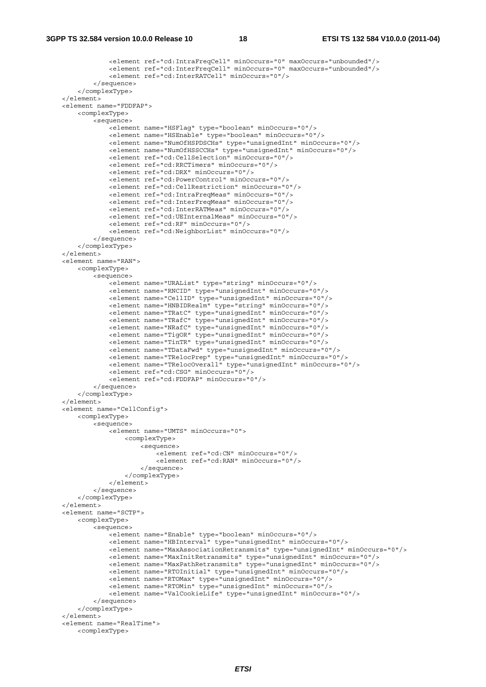```
 <element ref="cd:IntraFreqCell" minOccurs="0" maxOccurs="unbounded"/> 
                 <element ref="cd:InterFreqCell" minOccurs="0" maxOccurs="unbounded"/> 
                 <element ref="cd:InterRATCell" minOccurs="0"/> 
             </sequence> 
         </complexType> 
     </element> 
    <element name="FDDFAP"> 
         <complexType> 
             <sequence> 
                .<br><element name="HSFlaq" type="boolean" minOccurs="0"/>
                 <element name="HSEnable" type="boolean" minOccurs="0"/> 
                 <element name="NumOfHSPDSCHs" type="unsignedInt" minOccurs="0"/> 
                 <element name="NumOfHSSCCHs" type="unsignedInt" minOccurs="0"/> 
                 <element ref="cd:CellSelection" minOccurs="0"/> 
                 <element ref="cd:RRCTimers" minOccurs="0"/> 
                 <element ref="cd:DRX" minOccurs="0"/> 
                 <element ref="cd:PowerControl" minOccurs="0"/> 
                 <element ref="cd:CellRestriction" minOccurs="0"/> 
                 <element ref="cd:IntraFreqMeas" minOccurs="0"/> 
                 <element ref="cd:InterFreqMeas" minOccurs="0"/> 
                 <element ref="cd:InterRATMeas" minOccurs="0"/> 
                 <element ref="cd:UEInternalMeas" minOccurs="0"/> 
                 <element ref="cd:RF" minOccurs="0"/> 
                 <element ref="cd:NeighborList" minOccurs="0"/> 
             </sequence> 
         </complexType> 
     </element> 
     <element name="RAN"> 
         <complexType> 
            >sequence\sim <element name="URAList" type="string" minOccurs="0"/> 
                 <element name="RNCID" type="unsignedInt" minOccurs="0"/> 
                 <element name="CellID" type="unsignedInt" minOccurs="0"/> 
                 <element name="HNBIDRealm" type="string" minOccurs="0"/> 
                 <element name="TRatC" type="unsignedInt" minOccurs="0"/> 
                 <element name="TRafC" type="unsignedInt" minOccurs="0"/> 
                 <element name="NRafC" type="unsignedInt" minOccurs="0"/> 
 <element name="TigOR" type="unsignedInt" minOccurs="0"/> 
 <element name="TinTR" type="unsignedInt" minOccurs="0"/> 
                 <element name="TDataFwd" type="unsignedInt" minOccurs="0"/> 
                 <element name="TRelocPrep" type="unsignedInt" minOccurs="0"/> 
                 <element name="TRelocOverall" type="unsignedInt" minOccurs="0"/> 
                 <element ref="cd:CSG" minOccurs="0"/> 
                 <element ref="cd:FDDFAP" minOccurs="0"/> 
             </sequence> 
         </complexType> 
    </element> 
     <element name="CellConfig"> 
         <complexType> 
             <sequence> 
                 <element name="UMTS" minOccurs="0"> 
                     <complexType> 
                         <sequence> 
                              <element ref="cd:CN" minOccurs="0"/> 
                              <element ref="cd:RAN" minOccurs="0"/> 
                          </sequence> 
                     </complexType> 
                 </element> 
             </sequence> 
         </complexType> 
     </element> 
     <element name="SCTP"> 
         <complexType> 
             <sequence> 
                .<br><element name="Enable" type="boolean" minOccurs="0"/>
                 <element name="HBInterval" type="unsignedInt" minOccurs="0"/> 
                 <element name="MaxAssociationRetransmits" type="unsignedInt" minOccurs="0"/> 
                 <element name="MaxInitRetransmits" type="unsignedInt" minOccurs="0"/> 
                 <element name="MaxPathRetransmits" type="unsignedInt" minOccurs="0"/> 
                 <element name="RTOInitial" type="unsignedInt" minOccurs="0"/> 
                 <element name="RTOMax" type="unsignedInt" minOccurs="0"/> 
                 <element name="RTOMin" type="unsignedInt" minOccurs="0"/> 
                 <element name="ValCookieLife" type="unsignedInt" minOccurs="0"/> 
             </sequence> 
         </complexType> 
     </element> 
    <element name="RealTime"> 
         <complexType>
```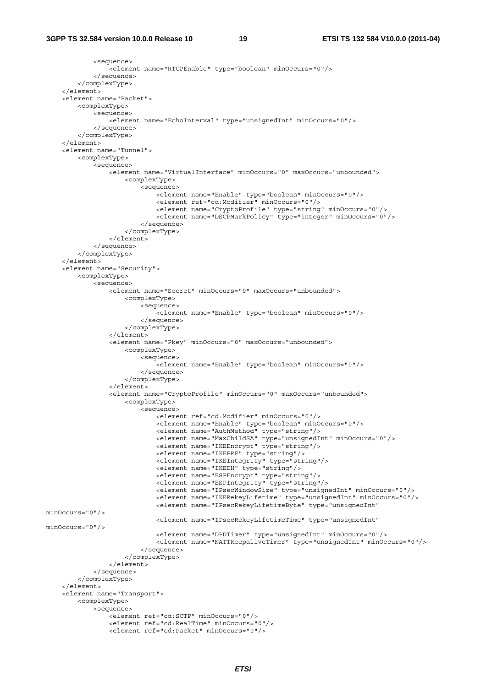```
 <sequence> 
                 <element name="RTCPEnable" type="boolean" minOccurs="0"/> 
             </sequence> 
         </complexType> 
     </element> 
     <element name="Packet"> 
         <complexType> 
             <sequence> 
                 <element name="EchoInterval" type="unsignedInt" minOccurs="0"/> 
             </sequence> 
         </complexType> 
     </element> 
     <element name="Tunnel"> 
         <complexType> 
             <sequence> 
                -<br><element name="VirtualInterface" minOccurs="0" maxOccurs="unbounded">
                     <complexType> 
                          <sequence> 
                             <element name="Enable" type="boolean" minOccurs="0"/> 
                              <element ref="cd:Modifier" minOccurs="0"/> 
                              <element name="CryptoProfile" type="string" minOccurs="0"/> 
                             <element name="DSCPMarkPolicy" type="integer" minOccurs="0"/> 
                          </sequence> 
                     </complexType> 
                 </element> 
             </sequence> 
         </complexType> 
     </element> 
     <element name="Security"> 
         <complexType> 
             <sequence> 
                .<br><element name="Secret" minOccurs="0" maxOccurs="unbounded">
                     <complexType> 
                         <sequence> 
                             <element name="Enable" type="boolean" minOccurs="0"/> 
                         </sequence> 
                     </complexType> 
                 </element> 
                 <element name="Pkey" minOccurs="0" maxOccurs="unbounded"> 
                     <complexType> 
                         <sequence> 
                             <element name="Enable" type="boolean" minOccurs="0"/> 
                         </sequence> 
                      </complexType> 
                 </element> 
                 <element name="CryptoProfile" minOccurs="0" maxOccurs="unbounded"> 
                     <complexType> 
                         <sequence> 
                              <element ref="cd:Modifier" minOccurs="0"/> 
                              <element name="Enable" type="boolean" minOccurs="0"/> 
 <element name="AuthMethod" type="string"/> 
 <element name="MaxChildSA" type="unsignedInt" minOccurs="0"/> 
                              <element name="IKEEncrypt" type="string"/> 
                              <element name="IKEPRF" type="string"/> 
                              <element name="IKEIntegrity" type="string"/> 
                              <element name="IKEDH" type="string"/> 
                              <element name="ESPEncrypt" type="string"/> 
                              <element name="ESPIntegrity" type="string"/> 
 <element name="IPsecWindowSize" type="unsignedInt" minOccurs="0"/> 
 <element name="IKERekeyLifetime" type="unsignedInt" minOccurs="0"/> 
                             <element name="IPsecRekeyLifetimeByte" type="unsignedInt" 
minOccurs="0"/> 
                             <element name="IPsecRekeyLifetimeTime" type="unsignedInt" 
minOccurs="0"/> 
                             <element name="DPDTimer" type="unsignedInt" minOccurs="0"/> 
                             <element name="NATTKeepaliveTimer" type="unsignedInt" minOccurs="0"/> 
                         </sequence> 
                     </complexType> 
                 </element> 
             </sequence> 
         </complexType> 
     </element> 
     <element name="Transport"> 
         <complexType> 
             <sequence> 
                 <element ref="cd:SCTP" minOccurs="0"/> 
                 <element ref="cd:RealTime" minOccurs="0"/> 
                 <element ref="cd:Packet" minOccurs="0"/>
```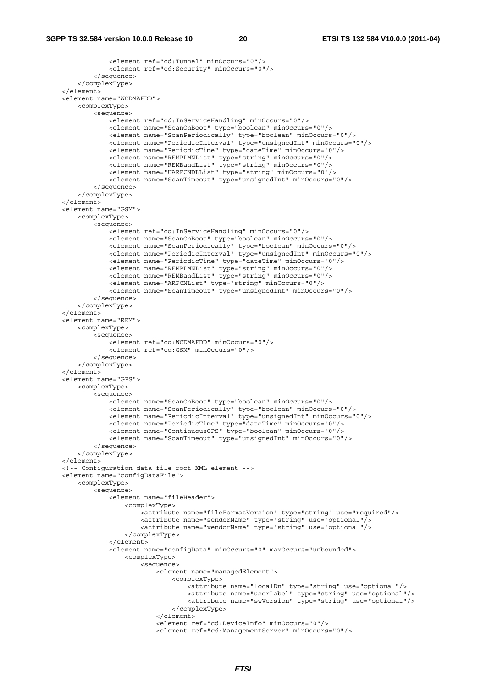```
 <element ref="cd:Tunnel" minOccurs="0"/> 
                 <element ref="cd:Security" minOccurs="0"/> 
             </sequence> 
         </complexType> 
     </element> 
    <element name="WCDMAFDD"> 
         <complexType> 
             <sequence> 
                 <element ref="cd:InServiceHandling" minOccurs="0"/> 
                 <element name="ScanOnBoot" type="boolean" minOccurs="0"/> 
                 <element name="ScanPeriodically" type="boolean" minOccurs="0"/> 
                 <element name="PeriodicInterval" type="unsignedInt" minOccurs="0"/> 
                 <element name="PeriodicTime" type="dateTime" minOccurs="0"/> 
                 <element name="REMPLMNList" type="string" minOccurs="0"/> 
                 <element name="REMBandList" type="string" minOccurs="0"/> 
                 <element name="UARFCNDLList" type="string" minOccurs="0"/> 
                 <element name="ScanTimeout" type="unsignedInt" minOccurs="0"/> 
             </sequence> 
         </complexType> 
    </element> 
    <element name="GSM"> 
         <complexType> 
             <sequence> 
                 <element ref="cd:InServiceHandling" minOccurs="0"/> 
                 <element name="ScanOnBoot" type="boolean" minOccurs="0"/> 
                 <element name="ScanPeriodically" type="boolean" minOccurs="0"/> 
                 <element name="PeriodicInterval" type="unsignedInt" minOccurs="0"/> 
 <element name="PeriodicTime" type="dateTime" minOccurs="0"/> 
 <element name="REMPLMNList" type="string" minOccurs="0"/> 
                 <element name="REMBandList" type="string" minOccurs="0"/> 
                 <element name="ARFCNList" type="string" minOccurs="0"/> 
                 <element name="ScanTimeout" type="unsignedInt" minOccurs="0"/> 
             </sequence> 
         </complexType> 
     </element> 
     <element name="REM"> 
         <complexType> 
             <sequence> 
                 <element ref="cd:WCDMAFDD" minOccurs="0"/> 
                 <element ref="cd:GSM" minOccurs="0"/> 
             </sequence> 
         </complexType> 
    </element> 
    <element name="GPS"> 
         <complexType> 
             <sequence> 
                 <element name="ScanOnBoot" type="boolean" minOccurs="0"/> 
                 <element name="ScanPeriodically" type="boolean" minOccurs="0"/> 
                 <element name="PeriodicInterval" type="unsignedInt" minOccurs="0"/> 
                 <element name="PeriodicTime" type="dateTime" minOccurs="0"/> 
                 <element name="ContinuousGPS" type="boolean" minOccurs="0"/> 
                 <element name="ScanTimeout" type="unsignedInt" minOccurs="0"/> 
             </sequence> 
         </complexType> 
    </element> 
    <!-- Configuration data file root XML element --> 
    <element name="configDataFile"> 
         <complexType> 
             <sequence> 
                .<br><element name="fileHeader">
                     <complexType> 
                          <attribute name="fileFormatVersion" type="string" use="required"/> 
                          <attribute name="senderName" type="string" use="optional"/> 
                          <attribute name="vendorName" type="string" use="optional"/> 
                      </complexType> 
                 </element> 
                 <element name="configData" minOccurs="0" maxOccurs="unbounded"> 
                     <complexType> 
                          <sequence> 
                              <element name="managedElement"> 
                                  <complexType> 
                                      <attribute name="localDn" type="string" use="optional"/> 
                                      <attribute name="userLabel" type="string" use="optional"/> 
                                      <attribute name="swVersion" type="string" use="optional"/> 
                                  </complexType> 
                              </element> 
                              <element ref="cd:DeviceInfo" minOccurs="0"/> 
                              <element ref="cd:ManagementServer" minOccurs="0"/>
```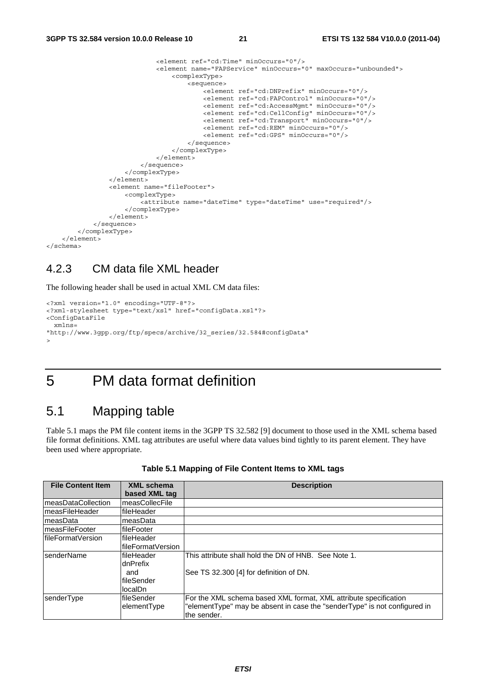```
 <element ref="cd:Time" minOccurs="0"/> 
                               <element name="FAPService" minOccurs="0" maxOccurs="unbounded"> 
                                    <complexType> 
                                        <sequence> 
                                            <element ref="cd:DNPrefix" minOccurs="0"/> 
                                            <element ref="cd:FAPControl" minOccurs="0"/> 
                                            <element ref="cd:AccessMgmt" minOccurs="0"/> 
                                            <element ref="cd:CellConfig" minOccurs="0"/> 
                                            <element ref="cd:Transport" minOccurs="0"/> 
                                            <element ref="cd:REM" minOccurs="0"/> 
                                            <element ref="cd:GPS" minOccurs="0"/> 
                                        </sequence> 
                                    </complexType> 
                               </element> 
                           </sequence> 
                      </complexType> 
                  </element> 
                  <element name="fileFooter"> 
                      <complexType> 
                           <attribute name="dateTime" type="dateTime" use="required"/> 
                      </complexType> 
                  </element> 
              </sequence> 
         </complexType> 
     </element> 
</schema>
```
#### 4.2.3 CM data file XML header

The following header shall be used in actual XML CM data files:

```
<?xml version="1.0" encoding="UTF-8"?> 
<?xml-stylesheet type="text/xsl" href="configData.xsl"?> 
<ConfigDataFile 
  xmlns= 
"http://www.3gpp.org/ftp/specs/archive/32_series/32.584#configData" 
\sim
```
### 5 PM data format definition

#### 5.1 Mapping table

Table 5.1 maps the PM file content items in the 3GPP TS 32.582 [9] document to those used in the XML schema based file format definitions. XML tag attributes are useful where data values bind tightly to its parent element. They have been used where appropriate.

| <b>File Content Item</b> | <b>XML schema</b><br>based XML tag | <b>Description</b>                                                        |
|--------------------------|------------------------------------|---------------------------------------------------------------------------|
| measDataCollection       | measCollecFile                     |                                                                           |
| measFileHeader           | fileHeader                         |                                                                           |
| lmeasData                | measData                           |                                                                           |
| ImeasFileFooter          | <b>IfileFooter</b>                 |                                                                           |
| lfileFormatVersion       | lfileHeader                        |                                                                           |
|                          | lfileFormatVersion                 |                                                                           |
| <b>IsenderName</b>       | lfileHeader                        | This attribute shall hold the DN of HNB. See Note 1.                      |
|                          | dnPrefix                           |                                                                           |
|                          | and                                | See TS 32.300 [4] for definition of DN.                                   |
|                          | lfileSender                        |                                                                           |
|                          | llocalDn                           |                                                                           |
| senderType               | <b>fileSender</b>                  | For the XML schema based XML format, XML attribute specification          |
|                          | elementType                        | "elementType" may be absent in case the "senderType" is not configured in |
|                          |                                    | the sender.                                                               |

#### **Table 5.1 Mapping of File Content Items to XML tags**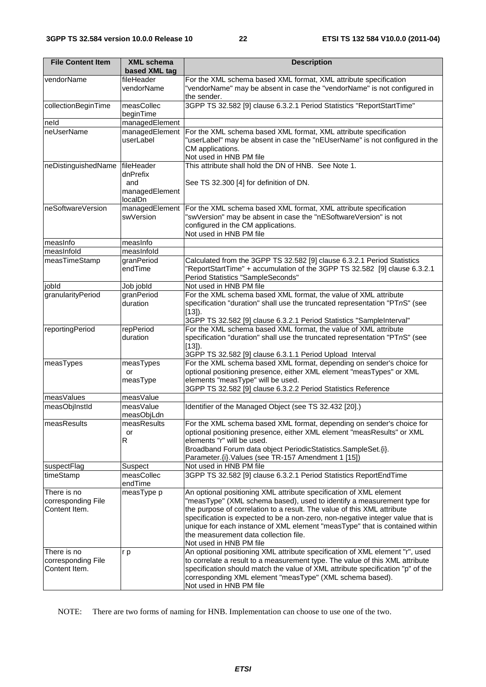| <b>File Content Item</b> | <b>XML schema</b><br>based XML tag | <b>Description</b>                                                                                                                                                                             |
|--------------------------|------------------------------------|------------------------------------------------------------------------------------------------------------------------------------------------------------------------------------------------|
| vendorName               | fileHeader                         | For the XML schema based XML format, XML attribute specification                                                                                                                               |
|                          | vendorName                         | "vendorName" may be absent in case the "vendorName" is not configured in                                                                                                                       |
|                          |                                    | the sender.                                                                                                                                                                                    |
| collectionBeginTime      | measCollec                         | 3GPP TS 32.582 [9] clause 6.3.2.1 Period Statistics "ReportStartTime"                                                                                                                          |
|                          | beginTime                          |                                                                                                                                                                                                |
| neld<br>neUserName       | managedElement                     |                                                                                                                                                                                                |
|                          | managedElement<br>userLabel        | For the XML schema based XML format, XML attribute specification<br>"userLabel" may be absent in case the "nEUserName" is not configured in the<br>CM applications.<br>Not used in HNB PM file |
| neDistinguishedName      | fileHeader                         | This attribute shall hold the DN of HNB. See Note 1.                                                                                                                                           |
|                          | dnPrefix                           |                                                                                                                                                                                                |
|                          | and                                | See TS 32.300 [4] for definition of DN.                                                                                                                                                        |
|                          | managedElement<br>localDn          |                                                                                                                                                                                                |
| neSoftwareVersion        | managedElement                     | For the XML schema based XML format, XML attribute specification                                                                                                                               |
|                          | swVersion                          | "swVersion" may be absent in case the "nESoftwareVersion" is not                                                                                                                               |
|                          |                                    | configured in the CM applications.                                                                                                                                                             |
|                          |                                    | Not used in HNB PM file                                                                                                                                                                        |
| measinfo                 | measInfo                           |                                                                                                                                                                                                |
| measInfold               | measInfold                         |                                                                                                                                                                                                |
| measTimeStamp            | granPeriod                         | Calculated from the 3GPP TS 32.582 [9] clause 6.3.2.1 Period Statistics                                                                                                                        |
|                          | endTime                            | "ReportStartTime" + accumulation of the 3GPP TS 32.582 [9] clause 6.3.2.1                                                                                                                      |
|                          |                                    | Period Statistics "SampleSeconds"                                                                                                                                                              |
| jobld                    | Job jobld                          | Not used in HNB PM file                                                                                                                                                                        |
| granularityPeriod        | granPeriod<br>duration             | For the XML schema based XML format, the value of XML attribute                                                                                                                                |
|                          |                                    | specification "duration" shall use the truncated representation "PTnS" (see                                                                                                                    |
|                          |                                    | $[13]$ ).<br>3GPP TS 32.582 [9] clause 6.3.2.1 Period Statistics "SampleInterval"                                                                                                              |
| reportingPeriod          | repPeriod                          | For the XML schema based XML format, the value of XML attribute                                                                                                                                |
|                          | duration                           | specification "duration" shall use the truncated representation "PTnS" (see                                                                                                                    |
|                          |                                    | $[13]$ ).                                                                                                                                                                                      |
|                          |                                    | 3GPP TS 32.582 [9] clause 6.3.1.1 Period Upload Interval                                                                                                                                       |
| measTypes                | measTypes                          | For the XML schema based XML format, depending on sender's choice for                                                                                                                          |
|                          | or                                 | optional positioning presence, either XML element "measTypes" or XML                                                                                                                           |
|                          | measType                           | elements "measType" will be used.                                                                                                                                                              |
|                          |                                    | 3GPP TS 32.582 [9] clause 6.3.2.2 Period Statistics Reference                                                                                                                                  |
| measValues               | measValue                          |                                                                                                                                                                                                |
| measObjInstId            | measValue                          | Identifier of the Managed Object (see TS 32.432 [20].)                                                                                                                                         |
| measResults              | measObjLdn<br>measResults          | For the XML schema based XML format, depending on sender's choice for                                                                                                                          |
|                          | or                                 | optional positioning presence, either XML element "measResults" or XML                                                                                                                         |
|                          | R                                  | elements "r" will be used.                                                                                                                                                                     |
|                          |                                    | Broadband Forum data object PeriodicStatistics.SampleSet.{i}.                                                                                                                                  |
|                          |                                    | Parameter. {i}. Values (see TR-157 Amendment 1 [15])                                                                                                                                           |
| suspectFlag              | Suspect                            | Not used in HNB PM file                                                                                                                                                                        |
| timeStamp                | measCollec                         | 3GPP TS 32.582 [9] clause 6.3.2.1 Period Statistics ReportEndTime                                                                                                                              |
|                          | endTime                            |                                                                                                                                                                                                |
| There is no              | measType p                         | An optional positioning XML attribute specification of XML element                                                                                                                             |
| corresponding File       |                                    | "measType" (XML schema based), used to identify a measurement type for                                                                                                                         |
| Content Item.            |                                    | the purpose of correlation to a result. The value of this XML attribute                                                                                                                        |
|                          |                                    | specification is expected to be a non-zero, non-negative integer value that is<br>unique for each instance of XML element "measType" that is contained within                                  |
|                          |                                    | the measurement data collection file.                                                                                                                                                          |
|                          |                                    | Not used in HNB PM file                                                                                                                                                                        |
| There is no              | r p                                | An optional positioning XML attribute specification of XML element "r", used                                                                                                                   |
| corresponding File       |                                    | to correlate a result to a measurement type. The value of this XML attribute                                                                                                                   |
| Content Item.            |                                    | specification should match the value of XML attribute specification "p" of the                                                                                                                 |
|                          |                                    | corresponding XML element "measType" (XML schema based).                                                                                                                                       |
|                          |                                    | Not used in HNB PM file                                                                                                                                                                        |

NOTE: There are two forms of naming for HNB. Implementation can choose to use one of the two.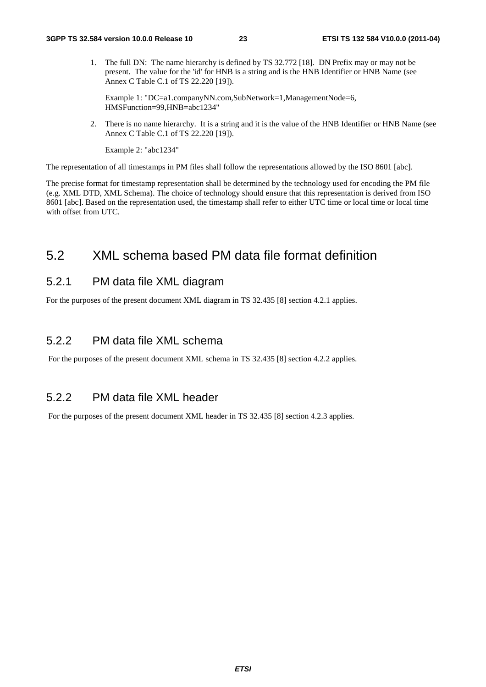1. The full DN: The name hierarchy is defined by TS 32.772 [18]. DN Prefix may or may not be present. The value for the 'id' for HNB is a string and is the HNB Identifier or HNB Name (see Annex C Table C.1 of TS 22.220 [19]).

Example 1: "DC=a1.companyNN.com,SubNetwork=1,ManagementNode=6, HMSFunction=99,HNB=abc1234"

2. There is no name hierarchy. It is a string and it is the value of the HNB Identifier or HNB Name (see Annex C Table C.1 of TS 22.220 [19]).

Example 2: "abc1234"

The representation of all timestamps in PM files shall follow the representations allowed by the ISO 8601 [abc].

The precise format for timestamp representation shall be determined by the technology used for encoding the PM file (e.g. XML DTD, XML Schema). The choice of technology should ensure that this representation is derived from ISO 8601 [abc]. Based on the representation used, the timestamp shall refer to either UTC time or local time or local time with offset from UTC.

### 5.2 XML schema based PM data file format definition

#### 5.2.1 PM data file XML diagram

For the purposes of the present document XML diagram in TS 32.435 [8] section 4.2.1 applies.

#### 5.2.2 PM data file XML schema

For the purposes of the present document XML schema in TS 32.435 [8] section 4.2.2 applies.

#### 5.2.2 PM data file XML header

For the purposes of the present document XML header in TS 32.435 [8] section 4.2.3 applies.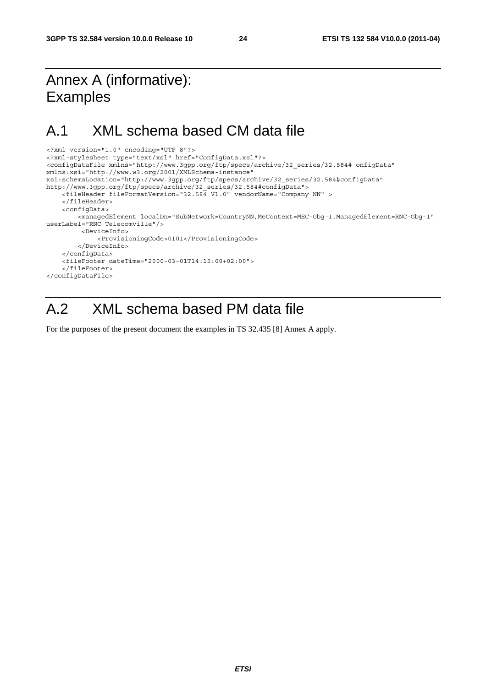# Annex A (informative): Examples

### A.1 XML schema based CM data file

```
<?xml version="1.0" encoding="UTF-8"?> 
<?xml-stylesheet type="text/xsl" href="ConfigData.xsl"?> 
<configDataFile xmlns="http://www.3gpp.org/ftp/specs/archive/32_series/32.584# onfigData" 
xmlns:xsi="http://www.w3.org/2001/XMLSchema-instance" 
xsi:schemaLocation="http://www.3gpp.org/ftp/specs/archive/32_series/32.584#configData" 
http://www.3gpp.org/ftp/specs/archive/32_series/32.584#configData"> 
     <fileHeader fileFormatVersion="32.584 V1.0" vendorName="Company NN" > 
     </fileHeader> 
     <configData> 
         <managedElement localDn="SubNetwork=CountryNN,MeContext=MEC-Gbg-1,ManagedElement=RNC-Gbg-1" 
userLabel="RNC Telecomville"/> 
          <DeviceInfo> 
              <ProvisioningCode>0101</ProvisioningCode> 
         </DeviceInfo> 
     </configData> 
     <fileFooter dateTime="2000-03-01T14:15:00+02:00"> 
     </fileFooter> 
</configDataFile>
```
### A.2 XML schema based PM data file

For the purposes of the present document the examples in TS 32.435 [8] Annex A apply.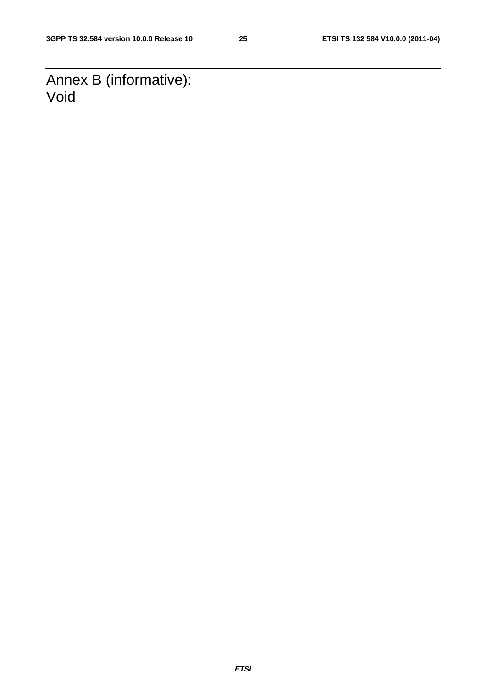Annex B (informative): Void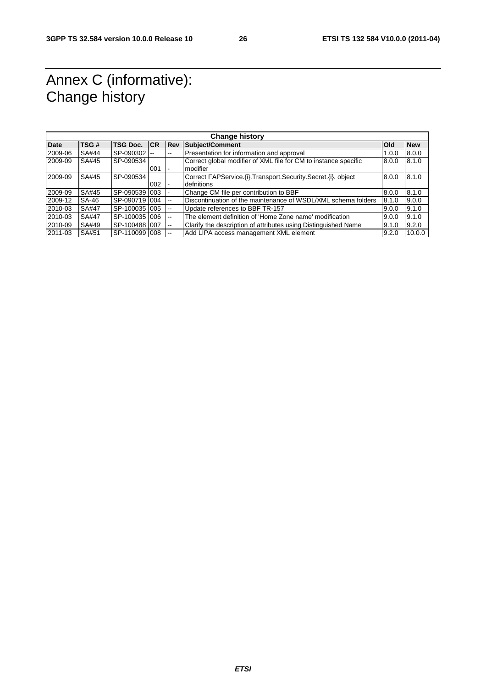# Annex C (informative): Change history

| <b>Change history</b> |              |                 |     |            |                                                                   |              |            |
|-----------------------|--------------|-----------------|-----|------------|-------------------------------------------------------------------|--------------|------------|
| <b>Date</b>           | TSG#         | <b>TSG Doc.</b> | CR  | <b>Rev</b> | Subject/Comment                                                   | <b>l</b> Old | <b>New</b> |
| 2009-06               | SA#44        | SP-090302 --    |     | --         | Presentation for information and approval                         | 1.0.0        | 8.0.0      |
| 2009-09               | SA#45        | SP-090534       |     |            | Correct global modifier of XML file for CM to instance specific   | 8.0.0        | 8.1.0      |
|                       |              |                 | 001 |            | modifier                                                          |              |            |
| 2009-09               | SA#45        | SP-090534       |     |            | Correct FAPService. (i). Transport. Security. Secret. (i). object | 8.0.0        | 8.1.0      |
|                       |              |                 | 002 |            | defnitions                                                        |              |            |
| 2009-09               | SA#45        | SP-090539 003   |     |            | Change CM file per contribution to BBF                            | 8.0.0        | 8.1.0      |
| 2009-12               | SA-46        | SP-0907191004   |     | $-$        | Discontinuation of the maintenance of WSDL/XML schema folders     | 8.1.0        | 9.0.0      |
| 2010-03               | <b>SA#47</b> | SP-100035 005   |     | --         | Update references to BBF TR-157                                   | 9.0.0        | 9.1.0      |
| 2010-03               | SA#47        | SP-1000351006   |     | --         | The element definition of 'Home Zone name' modification           | 9.0.0        | 9.1.0      |
| 2010-09               | SA#49        | SP-100488 007   |     | --         | Clarify the description of attributes using Distinguished Name    | 9.1.0        | 9.2.0      |
| 2011-03               | SA#51        | SP-1100991008   |     |            | Add LIPA access management XML element                            | 9.2.0        | 10.0.0     |